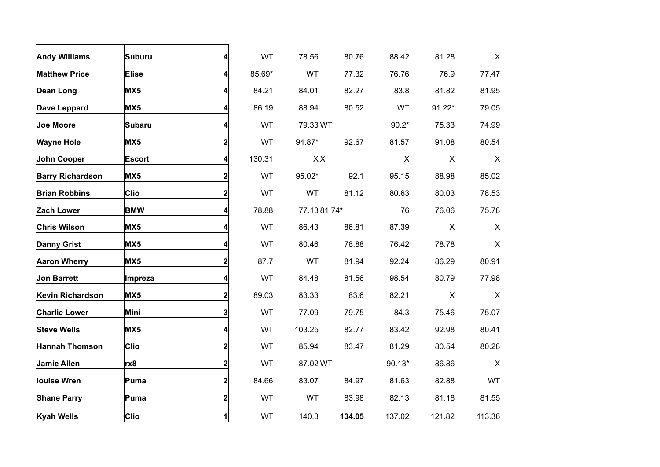| <b>Andy Williams</b>    | <b>Suburu</b> | 4                       | WT        | 78.56       | 80.76  | 88.42    | 81.28        | $\mathsf{X}$ |
|-------------------------|---------------|-------------------------|-----------|-------------|--------|----------|--------------|--------------|
| <b>Matthew Price</b>    | <b>Elise</b>  | 4                       | 85.69*    | <b>WT</b>   | 77.32  | 76.76    | 76.9         | 77.47        |
| Dean Long               | MX5           | 4                       | 84.21     | 84.01       | 82.27  | 83.8     | 81.82        | 81.95        |
| Dave Leppard            | MX5           | 4                       | 86.19     | 88.94       | 80.52  | WT       | $91.22*$     | 79.05        |
| <b>Joe Moore</b>        | <b>Subaru</b> | 4                       | <b>WT</b> | 79.33 WT    |        | $90.2*$  | 75.33        | 74.99        |
| <b>Wayne Hole</b>       | MX5           | $\mathbf{2}$            | WT        | 94.87*      | 92.67  | 81.57    | 91.08        | 80.54        |
| John Cooper             | <b>Escort</b> | 4                       | 130.31    | XX          |        | X        | X            | X            |
| <b>Barry Richardson</b> | MX5           | $\mathbf{2}$            | <b>WT</b> | 95.02*      | 92.1   | 95.15    | 88.98        | 85.02        |
| <b>Brian Robbins</b>    | <b>Clio</b>   | $\mathbf{2}$            | <b>WT</b> | WT          | 81.12  | 80.63    | 80.03        | 78.53        |
| <b>Zach Lower</b>       | <b>BMW</b>    | $\overline{\mathbf{r}}$ | 78.88     | 77.1381.74* |        | 76       | 76.06        | 75.78        |
| <b>Chris Wilson</b>     | MX5           | 4                       | WT        | 86.43       | 86.81  | 87.39    | $\mathsf{X}$ | $\mathsf{X}$ |
| <b>Danny Grist</b>      | MX5           | 4                       | WT        | 80.46       | 78.88  | 76.42    | 78.78        | $\mathsf{X}$ |
| <b>Aaron Wherry</b>     | MX5           | $\mathbf{2}$            | 87.7      | <b>WT</b>   | 81.94  | 92.24    | 86.29        | 80.91        |
| <b>Jon Barrett</b>      | Impreza       | 4                       | WT        | 84.48       | 81.56  | 98.54    | 80.79        | 77.98        |
| Kevin Richardson        | MX5           | $\mathbf{2}$            | 89.03     | 83.33       | 83.6   | 82.21    | X            | $\mathsf{X}$ |
| <b>Charlie Lower</b>    | Mini          | $\mathbf{3}$            | WT        | 77.09       | 79.75  | 84.3     | 75.46        | 75.07        |
| <b>Steve Wells</b>      | MX5           | 4                       | <b>WT</b> | 103.25      | 82.77  | 83.42    | 92.98        | 80.41        |
| Hannah Thomson          | <b>Clio</b>   | $\mathbf{2}$            | <b>WT</b> | 85.94       | 83.47  | 81.29    | 80.54        | 80.28        |
| <b>Jamie Allen</b>      | rx8           | $\mathbf{2}$            | <b>WT</b> | 87.02 WT    |        | $90.13*$ | 86.86        | X            |
| <b>louise Wren</b>      | Puma          | $\mathbf{2}$            | 84.66     | 83.07       | 84.97  | 81.63    | 82.88        | <b>WT</b>    |
| <b>Shane Parry</b>      | Puma          | $\mathbf{2}$            | WT        | WT          | 83.98  | 82.13    | 81.18        | 81.55        |
| <b>Kyah Wells</b>       | <b>Clio</b>   | 1                       | WT        | 140.3       | 134.05 | 137.02   | 121.82       | 113.36       |